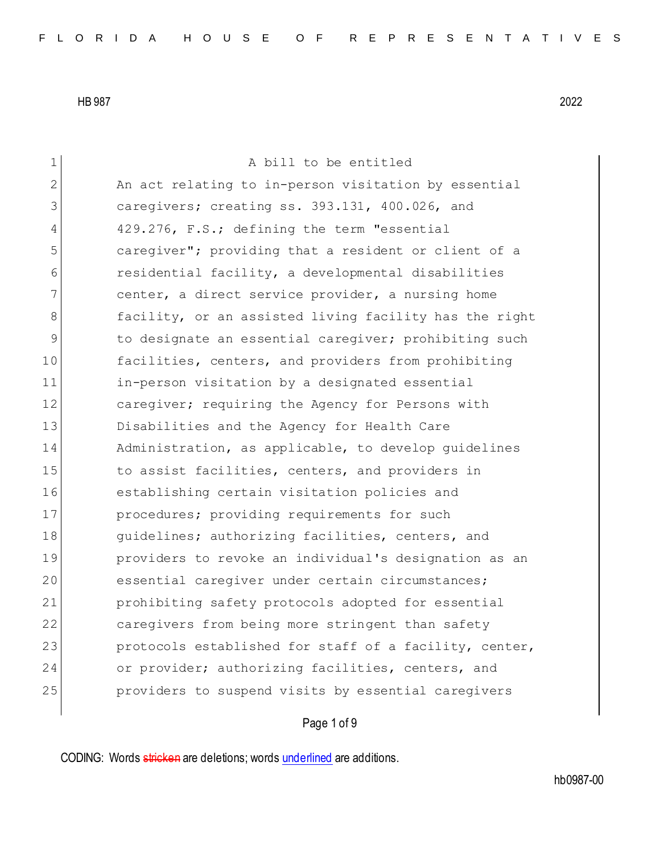| 1              | A bill to be entitled                                  |
|----------------|--------------------------------------------------------|
| $\overline{2}$ | An act relating to in-person visitation by essential   |
| 3              | caregivers; creating ss. 393.131, 400.026, and         |
| 4              | 429.276, F.S.; defining the term "essential            |
| 5              | caregiver"; providing that a resident or client of a   |
| 6              | residential facility, a developmental disabilities     |
| 7              | center, a direct service provider, a nursing home      |
| 8              | facility, or an assisted living facility has the right |
| 9              | to designate an essential caregiver; prohibiting such  |
| 10             | facilities, centers, and providers from prohibiting    |
| 11             | in-person visitation by a designated essential         |
| 12             | caregiver; requiring the Agency for Persons with       |
| 13             | Disabilities and the Agency for Health Care            |
| 14             | Administration, as applicable, to develop quidelines   |
| 15             | to assist facilities, centers, and providers in        |
| 16             | establishing certain visitation policies and           |
| 17             | procedures; providing requirements for such            |
| 18             | guidelines; authorizing facilities, centers, and       |
| 19             | providers to revoke an individual's designation as an  |
| 20             | essential caregiver under certain circumstances;       |
| 21             | prohibiting safety protocols adopted for essential     |
| 22             | caregivers from being more stringent than safety       |
| 23             | protocols established for staff of a facility, center, |
| 24             | or provider; authorizing facilities, centers, and      |
| 25             | providers to suspend visits by essential caregivers    |
|                |                                                        |

## Page 1 of 9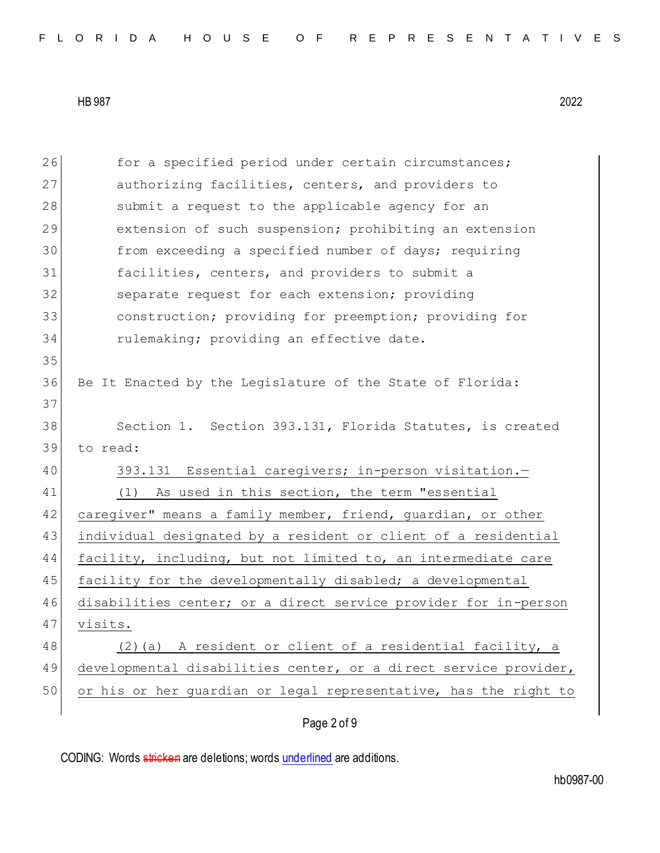| 26 | for a specified period under certain circumstances;              |
|----|------------------------------------------------------------------|
| 27 | authorizing facilities, centers, and providers to                |
| 28 | submit a request to the applicable agency for an                 |
| 29 | extension of such suspension; prohibiting an extension           |
| 30 | from exceeding a specified number of days; requiring             |
| 31 | facilities, centers, and providers to submit a                   |
| 32 | separate request for each extension; providing                   |
| 33 | construction; providing for preemption; providing for            |
| 34 | rulemaking; providing an effective date.                         |
| 35 |                                                                  |
| 36 | Be It Enacted by the Legislature of the State of Florida:        |
| 37 |                                                                  |
| 38 | Section 1. Section 393.131, Florida Statutes, is created         |
| 39 | to read:                                                         |
| 40 | 393.131 Essential caregivers; in-person visitation.-             |
| 41 | As used in this section, the term "essential<br>(1)              |
| 42 | caregiver" means a family member, friend, guardian, or other     |
| 43 | individual designated by a resident or client of a residential   |
| 44 | facility, including, but not limited to, an intermediate care    |
| 45 | facility for the developmentally disabled; a developmental       |
| 46 | disabilities center; or a direct service provider for in-person  |
| 47 | visits.                                                          |
| 48 | A resident or client of a residential facility, a<br>$(2)$ (a)   |
| 49 | developmental disabilities center, or a direct service provider, |
| 50 | or his or her quardian or legal representative, has the right to |
|    | Page 2 of 9                                                      |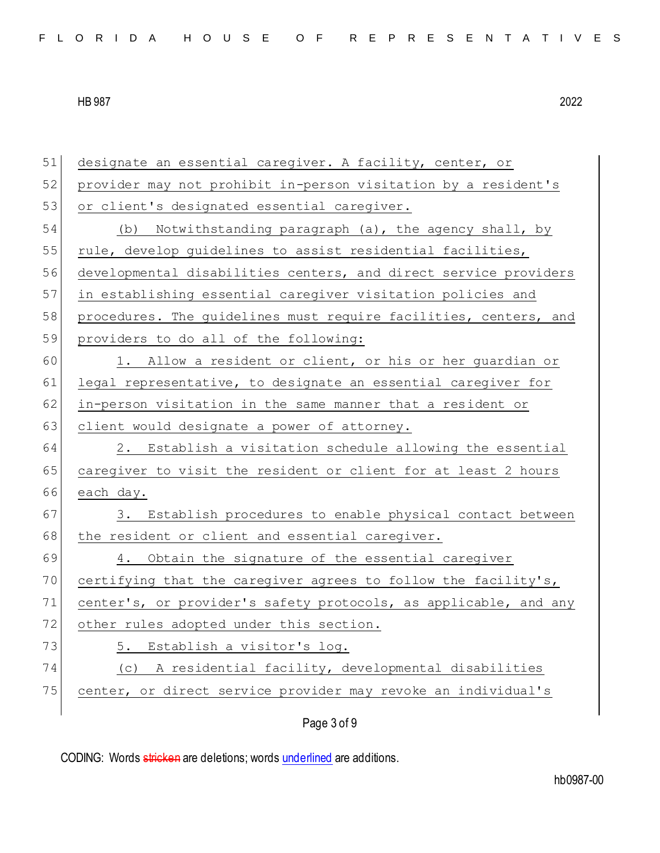| 51 | designate an essential caregiver. A facility, center, or         |
|----|------------------------------------------------------------------|
| 52 | provider may not prohibit in-person visitation by a resident's   |
| 53 | or client's designated essential caregiver.                      |
| 54 | Notwithstanding paragraph (a), the agency shall, by<br>(b)       |
| 55 | rule, develop guidelines to assist residential facilities,       |
| 56 | developmental disabilities centers, and direct service providers |
| 57 | in establishing essential caregiver visitation policies and      |
| 58 | procedures. The guidelines must require facilities, centers, and |
| 59 | providers to do all of the following:                            |
| 60 | 1. Allow a resident or client, or his or her guardian or         |
| 61 | legal representative, to designate an essential caregiver for    |
| 62 | in-person visitation in the same manner that a resident or       |
| 63 | client would designate a power of attorney.                      |
| 64 | 2. Establish a visitation schedule allowing the essential        |
| 65 | caregiver to visit the resident or client for at least 2 hours   |
| 66 | each day.                                                        |
| 67 | 3. Establish procedures to enable physical contact between       |
| 68 | the resident or client and essential caregiver.                  |
| 69 | 4. Obtain the signature of the essential caregiver               |
| 70 | certifying that the caregiver agrees to follow the facility's,   |
| 71 | center's, or provider's safety protocols, as applicable, and any |
| 72 | other rules adopted under this section.                          |
| 73 | Establish a visitor's log.<br>5.                                 |
| 74 | A residential facility, developmental disabilities<br>(C)        |
| 75 | center, or direct service provider may revoke an individual's    |
|    |                                                                  |

Page 3 of 9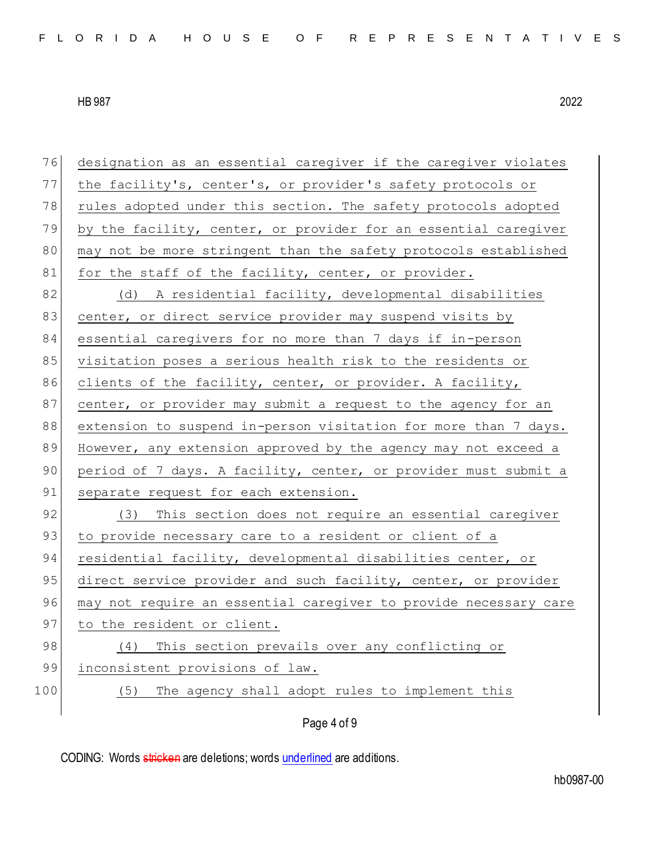| 76  | designation as an essential caregiver if the caregiver violates  |
|-----|------------------------------------------------------------------|
| 77  | the facility's, center's, or provider's safety protocols or      |
| 78  | rules adopted under this section. The safety protocols adopted   |
| 79  | by the facility, center, or provider for an essential caregiver  |
| 80  | may not be more stringent than the safety protocols established  |
| 81  | for the staff of the facility, center, or provider.              |
| 82  | (d) A residential facility, developmental disabilities           |
| 83  | center, or direct service provider may suspend visits by         |
| 84  | essential caregivers for no more than 7 days if in-person        |
| 85  | visitation poses a serious health risk to the residents or       |
| 86  | clients of the facility, center, or provider. A facility,        |
| 87  | center, or provider may submit a request to the agency for an    |
| 88  | extension to suspend in-person visitation for more than 7 days.  |
| 89  | However, any extension approved by the agency may not exceed a   |
| 90  | period of 7 days. A facility, center, or provider must submit a  |
| 91  | separate request for each extension.                             |
| 92  | This section does not require an essential caregiver<br>(3)      |
| 93  | to provide necessary care to a resident or client of a           |
| 94  | residential facility, developmental disabilities center, or      |
| 95  | direct service provider and such facility, center, or provider   |
| 96  | may not require an essential caregiver to provide necessary care |
| 97  | to the resident or client.                                       |
| 98  | This section prevails over any conflicting or<br>(4)             |
| 99  | inconsistent provisions of law.                                  |
| 100 | The agency shall adopt rules to implement this<br>(5)            |
|     | Page 4 of 9                                                      |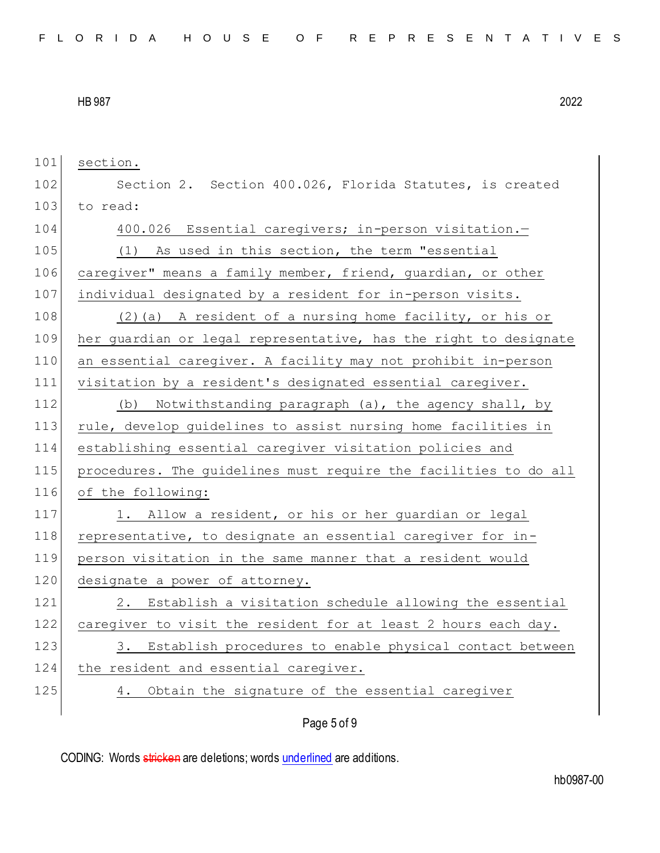101 section. 102 Section 2. Section 400.026, Florida Statutes, is created 103 to read: 104 400.026 Essential caregivers; in-person visitation.-105 (1) As used in this section, the term "essential 106 caregiver" means a family member, friend, quardian, or other 107 individual designated by a resident for in-person visits. 108 (2)(a) A resident of a nursing home facility, or his or 109 her guardian or legal representative, has the right to designate 110 an essential caregiver. A facility may not prohibit in-person 111 visitation by a resident's designated essential caregiver. 112 (b) Notwithstanding paragraph (a), the agency shall, by 113 rule, develop guidelines to assist nursing home facilities in 114 establishing essential caregiver visitation policies and 115 procedures. The guidelines must require the facilities to do all 116 of the following: 117 1. Allow a resident, or his or her guardian or legal 118 representative, to designate an essential caregiver for in-119 person visitation in the same manner that a resident would 120 designate a power of attorney. 121 2. Establish a visitation schedule allowing the essential 122 caregiver to visit the resident for at least 2 hours each day. 123 3. Establish procedures to enable physical contact between 124 the resident and essential caregiver. 125 4. Obtain the signature of the essential caregiver

Page 5 of 9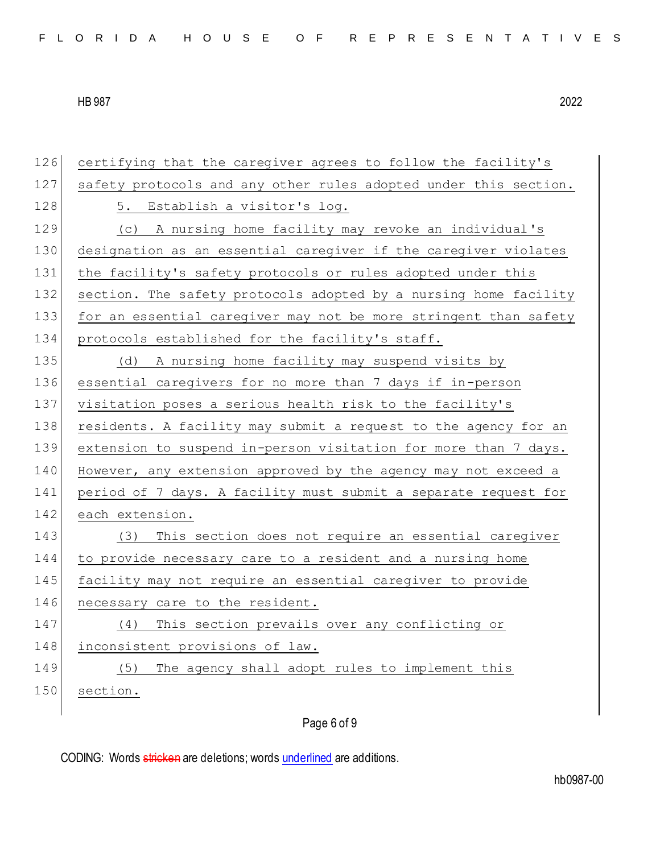| 126 | certifying that the caregiver agrees to follow the facility's    |
|-----|------------------------------------------------------------------|
| 127 | safety protocols and any other rules adopted under this section. |
| 128 | 5. Establish a visitor's log.                                    |
| 129 | (c) A nursing home facility may revoke an individual's           |
| 130 | designation as an essential caregiver if the caregiver violates  |
| 131 | the facility's safety protocols or rules adopted under this      |
| 132 | section. The safety protocols adopted by a nursing home facility |
| 133 | for an essential caregiver may not be more stringent than safety |
| 134 | protocols established for the facility's staff.                  |
| 135 | (d) A nursing home facility may suspend visits by                |
| 136 | essential caregivers for no more than 7 days if in-person        |
| 137 | visitation poses a serious health risk to the facility's         |
| 138 | residents. A facility may submit a request to the agency for an  |
| 139 | extension to suspend in-person visitation for more than 7 days.  |
| 140 | However, any extension approved by the agency may not exceed a   |
| 141 | period of 7 days. A facility must submit a separate request for  |
| 142 | each extension.                                                  |
| 143 | This section does not require an essential caregiver<br>(3)      |
| 144 | to provide necessary care to a resident and a nursing home       |
| 145 | facility may not require an essential caregiver to provide       |
| 146 | necessary care to the resident.                                  |
| 147 | This section prevails over any conflicting or<br>(4)             |
| 148 | inconsistent provisions of law.                                  |
| 149 | The agency shall adopt rules to implement this<br>(5)            |
| 150 | section.                                                         |
|     |                                                                  |

## Page 6 of 9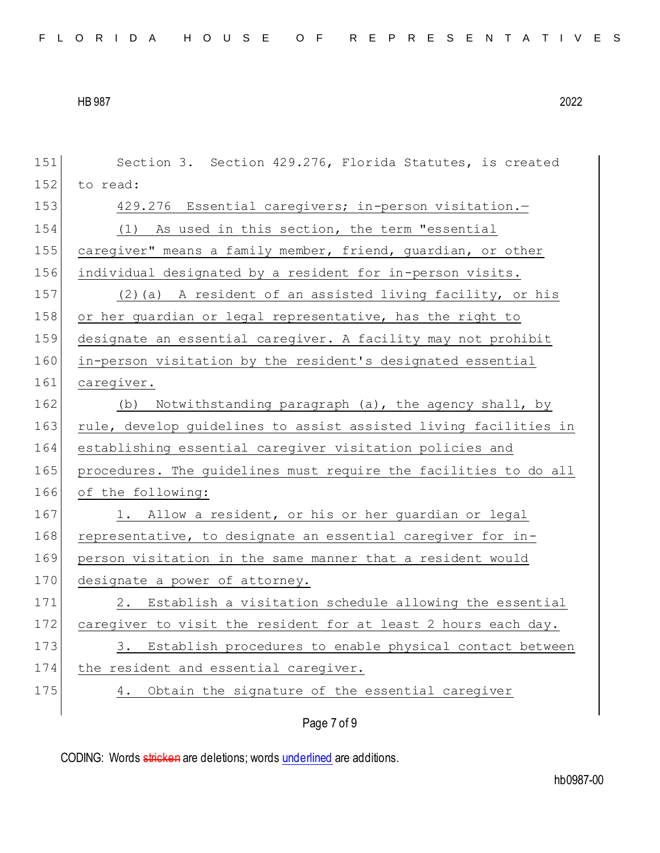| 151 | Section 3. Section 429.276, Florida Statutes, is created         |
|-----|------------------------------------------------------------------|
| 152 | to read:                                                         |
| 153 | 429.276 Essential caregivers; in-person visitation.-             |
| 154 | (1) As used in this section, the term "essential                 |
| 155 | caregiver" means a family member, friend, guardian, or other     |
| 156 | individual designated by a resident for in-person visits.        |
| 157 | (2) (a) A resident of an assisted living facility, or his        |
| 158 | or her guardian or legal representative, has the right to        |
| 159 | designate an essential caregiver. A facility may not prohibit    |
| 160 | in-person visitation by the resident's designated essential      |
| 161 | caregiver.                                                       |
| 162 | Notwithstanding paragraph (a), the agency shall, by<br>(b)       |
| 163 | rule, develop guidelines to assist assisted living facilities in |
| 164 | establishing essential caregiver visitation policies and         |
| 165 | procedures. The guidelines must require the facilities to do all |
| 166 | of the following:                                                |
| 167 | 1. Allow a resident, or his or her guardian or legal             |
| 168 | representative, to designate an essential caregiver for in-      |
| 169 | person visitation in the same manner that a resident would       |
| 170 | designate a power of attorney.                                   |
| 171 | 2. Establish a visitation schedule allowing the essential        |
| 172 | caregiver to visit the resident for at least 2 hours each day.   |
| 173 | Establish procedures to enable physical contact between<br>3.    |
| 174 | the resident and essential caregiver.                            |
| 175 | Obtain the signature of the essential caregiver<br>4.            |
|     | Page 7 of 9                                                      |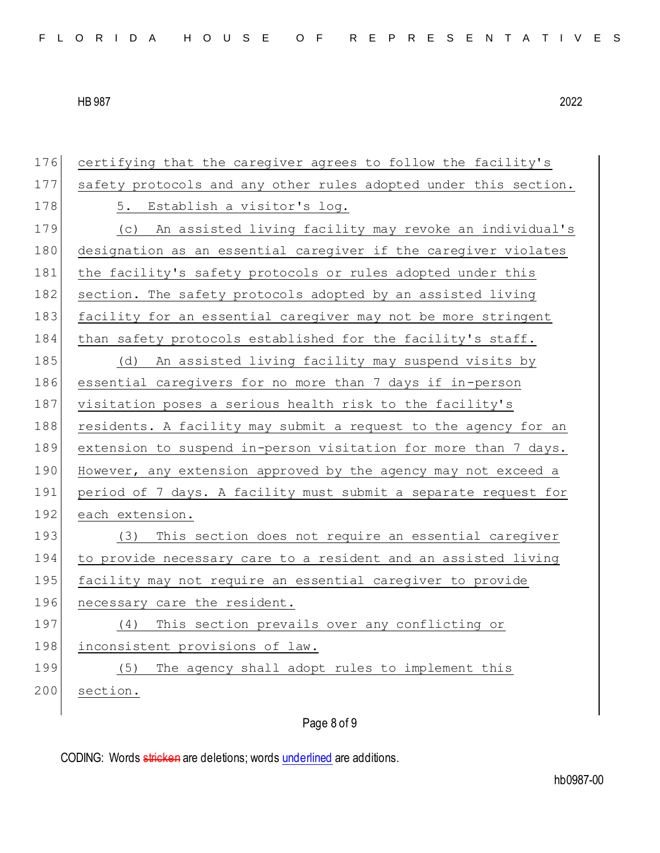| 176 | certifying that the caregiver agrees to follow the facility's    |
|-----|------------------------------------------------------------------|
| 177 | safety protocols and any other rules adopted under this section. |
| 178 | 5. Establish a visitor's log.                                    |
| 179 | (c) An assisted living facility may revoke an individual's       |
| 180 | designation as an essential caregiver if the caregiver violates  |
| 181 | the facility's safety protocols or rules adopted under this      |
| 182 | section. The safety protocols adopted by an assisted living      |
| 183 | facility for an essential caregiver may not be more stringent    |
| 184 | than safety protocols established for the facility's staff.      |
| 185 | (d) An assisted living facility may suspend visits by            |
| 186 | essential caregivers for no more than 7 days if in-person        |
| 187 | visitation poses a serious health risk to the facility's         |
| 188 | residents. A facility may submit a request to the agency for an  |
| 189 | extension to suspend in-person visitation for more than 7 days.  |
| 190 | However, any extension approved by the agency may not exceed a   |
| 191 | period of 7 days. A facility must submit a separate request for  |
| 192 | each extension.                                                  |
| 193 | This section does not require an essential careqiver<br>(3)      |
| 194 | to provide necessary care to a resident and an assisted living   |
| 195 | facility may not require an essential caregiver to provide       |
| 196 | necessary care the resident.                                     |
| 197 | This section prevails over any conflicting or<br>(4)             |
| 198 | inconsistent provisions of law.                                  |
| 199 | The agency shall adopt rules to implement this<br>(5)            |
| 200 | section.                                                         |
|     |                                                                  |

Page 8 of 9